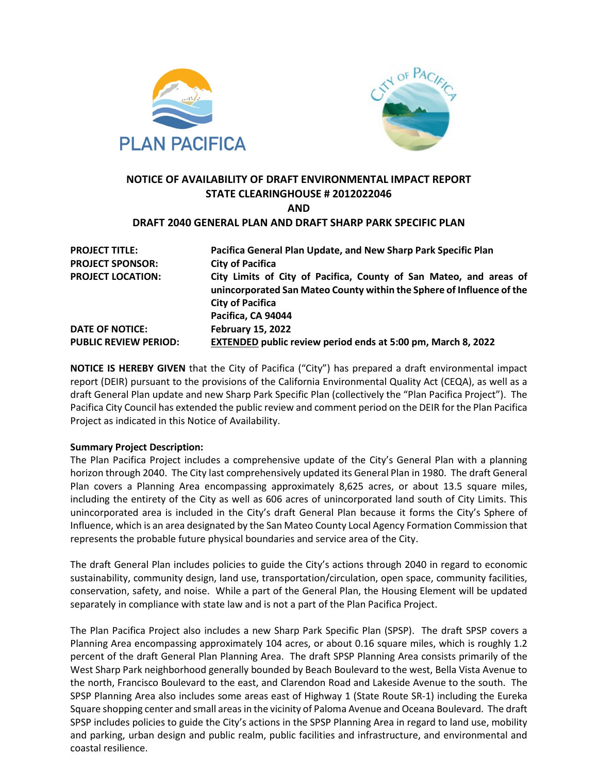



## **NOTICE OF AVAILABILITY OF DRAFT ENVIRONMENTAL IMPACT REPORT STATE CLEARINGHOUSE # 2012022046 AND**

# **DRAFT 2040 GENERAL PLAN AND DRAFT SHARP PARK SPECIFIC PLAN**

| <b>PROJECT TITLE:</b>        | Pacifica General Plan Update, and New Sharp Park Specific Plan                                                                              |
|------------------------------|---------------------------------------------------------------------------------------------------------------------------------------------|
| <b>PROJECT SPONSOR:</b>      | <b>City of Pacifica</b>                                                                                                                     |
| <b>PROJECT LOCATION:</b>     | City Limits of City of Pacifica, County of San Mateo, and areas of<br>unincorporated San Mateo County within the Sphere of Influence of the |
|                              | <b>City of Pacifica</b>                                                                                                                     |
|                              | Pacifica, CA 94044                                                                                                                          |
| <b>DATE OF NOTICE:</b>       | <b>February 15, 2022</b>                                                                                                                    |
| <b>PUBLIC REVIEW PERIOD:</b> | EXTENDED public review period ends at 5:00 pm, March 8, 2022                                                                                |

**NOTICE IS HEREBY GIVEN** that the City of Pacifica ("City") has prepared a draft environmental impact report (DEIR) pursuant to the provisions of the California Environmental Quality Act (CEQA), as well as a draft General Plan update and new Sharp Park Specific Plan (collectively the "Plan Pacifica Project"). The Pacifica City Council has extended the public review and comment period on the DEIR for the Plan Pacifica Project as indicated in this Notice of Availability.

#### **Summary Project Description:**

The Plan Pacifica Project includes a comprehensive update of the City's General Plan with a planning horizon through 2040. The City last comprehensively updated its General Plan in 1980. The draft General Plan covers a Planning Area encompassing approximately 8,625 acres, or about 13.5 square miles, including the entirety of the City as well as 606 acres of unincorporated land south of City Limits. This unincorporated area is included in the City's draft General Plan because it forms the City's Sphere of Influence, which is an area designated by the San Mateo County Local Agency Formation Commission that represents the probable future physical boundaries and service area of the City.

The draft General Plan includes policies to guide the City's actions through 2040 in regard to economic sustainability, community design, land use, transportation/circulation, open space, community facilities, conservation, safety, and noise. While a part of the General Plan, the Housing Element will be updated separately in compliance with state law and is not a part of the Plan Pacifica Project.

The Plan Pacifica Project also includes a new Sharp Park Specific Plan (SPSP). The draft SPSP covers a Planning Area encompassing approximately 104 acres, or about 0.16 square miles, which is roughly 1.2 percent of the draft General Plan Planning Area. The draft SPSP Planning Area consists primarily of the West Sharp Park neighborhood generally bounded by Beach Boulevard to the west, Bella Vista Avenue to the north, Francisco Boulevard to the east, and Clarendon Road and Lakeside Avenue to the south. The SPSP Planning Area also includes some areas east of Highway 1 (State Route SR-1) including the Eureka Square shopping center and small areas in the vicinity of Paloma Avenue and Oceana Boulevard. The draft SPSP includes policies to guide the City's actions in the SPSP Planning Area in regard to land use, mobility and parking, urban design and public realm, public facilities and infrastructure, and environmental and coastal resilience.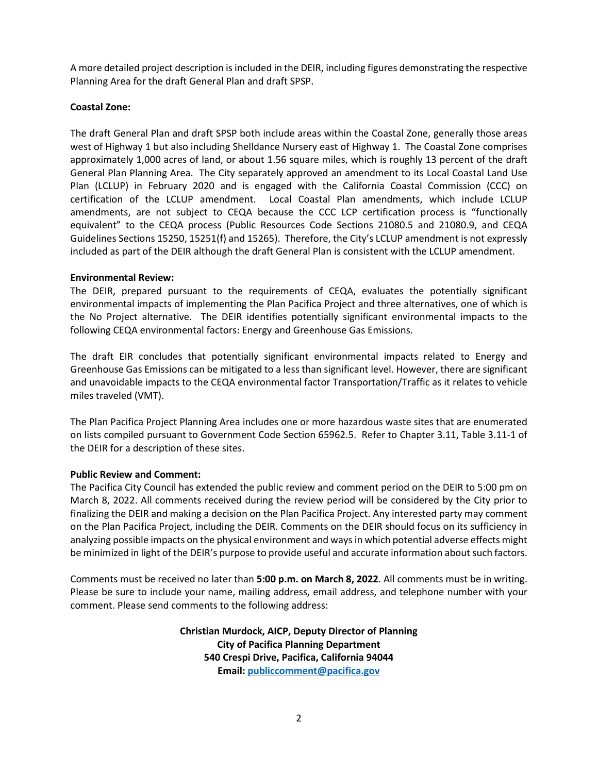A more detailed project description is included in the DEIR, including figures demonstrating the respective Planning Area for the draft General Plan and draft SPSP.

### **Coastal Zone:**

The draft General Plan and draft SPSP both include areas within the Coastal Zone, generally those areas west of Highway 1 but also including Shelldance Nursery east of Highway 1. The Coastal Zone comprises approximately 1,000 acres of land, or about 1.56 square miles, which is roughly 13 percent of the draft General Plan Planning Area. The City separately approved an amendment to its Local Coastal Land Use Plan (LCLUP) in February 2020 and is engaged with the California Coastal Commission (CCC) on certification of the LCLUP amendment. Local Coastal Plan amendments, which include LCLUP amendments, are not subject to CEQA because the CCC LCP certification process is "functionally equivalent" to the CEQA process (Public Resources Code Sections 21080.5 and 21080.9, and CEQA Guidelines Sections 15250, 15251(f) and 15265). Therefore, the City's LCLUP amendment is not expressly included as part of the DEIR although the draft General Plan is consistent with the LCLUP amendment.

#### **Environmental Review:**

The DEIR, prepared pursuant to the requirements of CEQA, evaluates the potentially significant environmental impacts of implementing the Plan Pacifica Project and three alternatives, one of which is the No Project alternative. The DEIR identifies potentially significant environmental impacts to the following CEQA environmental factors: Energy and Greenhouse Gas Emissions.

The draft EIR concludes that potentially significant environmental impacts related to Energy and Greenhouse Gas Emissions can be mitigated to a less than significant level. However, there are significant and unavoidable impacts to the CEQA environmental factor Transportation/Traffic as it relates to vehicle miles traveled (VMT).

The Plan Pacifica Project Planning Area includes one or more hazardous waste sites that are enumerated on lists compiled pursuant to Government Code Section 65962.5. Refer to Chapter 3.11, Table 3.11-1 of the DEIR for a description of these sites.

#### **Public Review and Comment:**

The Pacifica City Council has extended the public review and comment period on the DEIR to 5:00 pm on March 8, 2022. All comments received during the review period will be considered by the City prior to finalizing the DEIR and making a decision on the Plan Pacifica Project. Any interested party may comment on the Plan Pacifica Project, including the DEIR. Comments on the DEIR should focus on its sufficiency in analyzing possible impacts on the physical environment and ways in which potential adverse effects might be minimized in light of the DEIR's purpose to provide useful and accurate information about such factors.

Comments must be received no later than **5:00 p.m. on March 8, 2022**. All comments must be in writing. Please be sure to include your name, mailing address, email address, and telephone number with your comment. Please send comments to the following address:

> **Christian Murdock, AICP, Deputy Director of Planning City of Pacifica Planning Department 540 Crespi Drive, Pacifica, California 94044 Email[: publiccomment@pacifica.gov](mailto:publiccomment@pacifica.gov)**